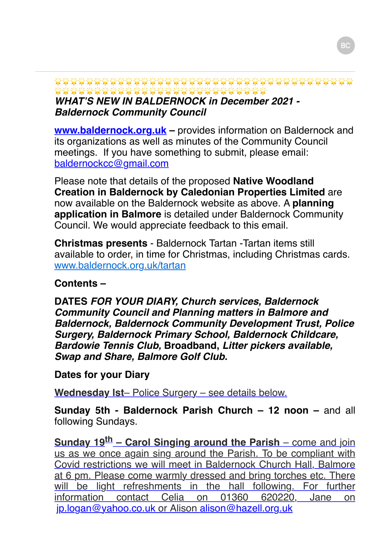\*\*\*\*\*\*\*\*\*\*\*\*\*\*\*\*\*\*\*\*\*\*\*\*\*\*\*\*\*

*WHAT'S NEW IN BALDERNOCK in December 2021 - Baldernock Community Council*

**[www.baldernock.org.uk](http://www.baldernock.org.uk/) –** provides information on Baldernock and its organizations as well as minutes of the Community Council meetings. If you have something to submit, please email: [baldernockcc@gmail.com](mailto:baldernockcc@gmail.com)

Please note that details of the proposed **Native Woodland Creation in Baldernock by Caledonian Properties Limited** are now available on the Baldernock website as above. A **planning application in Balmore** is detailed under Baldernock Community Council. We would appreciate feedback to this email.

**Christmas presents** - Baldernock Tartan -Tartan items still available to order, in time for Christmas, including Christmas cards. [www.baldernock.org.uk/tartan](http://www.baldernock.org.uk/tartan)

#### **Contents –**

**DATES** *FOR YOUR DIARY, Church services, Baldernock Community Council and Planning matters in Balmore and Baldernock, Baldernock Community Development Trust, Police Surgery, Baldernock Primary School, Baldernock Childcare, Bardowie Tennis Club,* **Broadband,** *Litter pickers available, Swap and Share, Balmore Golf Club.*

### **Dates for your Diary**

**Wednesday lst**– Police Surgery – see details below.

**Sunday 5th - Baldernock Parish Church – 12 noon – and all** following Sundays.

Sunday 19<sup>th</sup> – Carol Singing around the Parish – come and join us as we once again sing around the Parish. To be compliant with Covid restrictions we will meet in Baldernock Church Hall, Balmore at 6 pm. Please come warmly dressed and bring torches etc. There will be light refreshments in the hall following. For further information contact Celia on 01360 620220, Jane on [jp.logan@yahoo.co.uk](mailto:jp.logan@yahoo.co.uk) or Alison [alison@hazell.org.uk](mailto:alison@hazell.org.uk)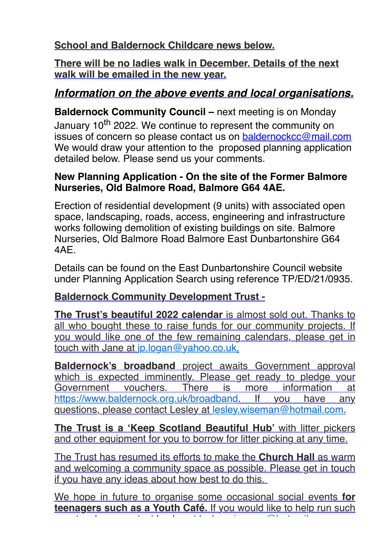**School and Baldernock Childcare news below.**

**There will be no ladies walk in December. Details of the next walk will be emailed in the new year.**

# *Information on the above events and local organisations.*

**Baldernock Community Council –** next meeting is on Monday January 10<sup>th</sup> 2022. We continue to represent the community on issues of concern so please contact us on [baldernockcc@mail.com](mailto:baldernockcc@mail.com) We would draw your attention to the proposed planning application detailed below. Please send us your comments.

#### **New Planning Application - On the site of the Former Balmore Nurseries, Old Balmore Road, Balmore G64 4AE.**

Erection of residential development (9 units) with associated open space, landscaping, roads, access, engineering and infrastructure works following demolition of existing buildings on site. Balmore Nurseries, Old Balmore Road Balmore East Dunbartonshire G64 4AE.

Details can be found on the East Dunbartonshire Council website under Planning Application Search using reference TP/ED/21/0935.

## **Baldernock Community Development Trust -**

**The Trust's beautiful 2022 calendar** is almost sold out. Thanks to all who bought these to raise funds for our community projects. If you would like one of the few remaining calendars, please get in touch with Jane at [jp.logan@yahoo.co.uk](mailto:jp.logan@yahoo.co.uk).

**Baldernock's broadband** project awaits Government approval which is expected imminently. Please get ready to pledge your Government vouchers. There is more information at [https://www.baldernock.org.uk/broadband.](https://www.baldernock.org.uk/broadband) If you have any questions, please contact Lesley at [lesley.wiseman@hotmail.com](mailto:lesley.wiseman@hotmail.com).

**The Trust is a 'Keep Scotland Beautiful Hub'** with litter pickers and other equipment for you to borrow for litter picking at any time.

The Trust has resumed its efforts to make the **Church Hall** as warm and welcoming a community space as possible. Please get in touch if you have any ideas about how best to do this.

We hope in future to organise some occasional social events **for teenagers such as a Youth Café.** If you would like to help run such events, please contact Lesley at [lesley.wiseman@hotmail.com](mailto:lesley.wiseman@hotmail.com)**.**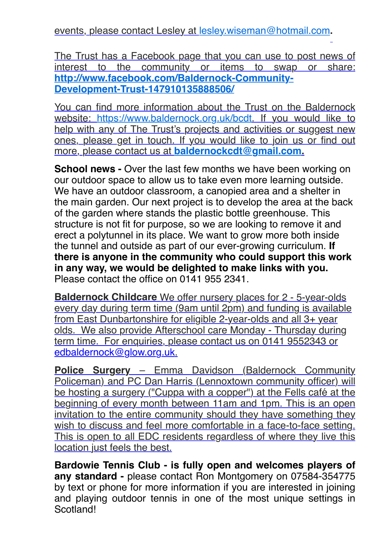events, please contact Lesley at [lesley.wiseman@hotmail.com](mailto:lesley.wiseman@hotmail.com)**.**

The Trust has a Facebook page that you can use to post news of interest to the community or items to swap or share: **[http://www.facebook.com/Baldernock-Community-](http://www.facebook.com/Baldernock-Community-Development-Trust-147910135888506/)Development-Trust-147910135888506/**

You can find more information about the Trust on the Baldernock website: <https://www.baldernock.org.uk/bcdt>. If you would like to help with any of The Trust's projects and activities or suggest new ones, please get in touch. If you would like to join us or find out more, please contact us at **[baldernockcdt@gmail.com](mailto:baldernockcdt@gmail.com).**

**School news -** Over the last few months we have been working on our outdoor space to allow us to take even more learning outside. We have an outdoor classroom, a canopied area and a shelter in the main garden. Our next project is to develop the area at the back of the garden where stands the plastic bottle greenhouse. This structure is not fit for purpose, so we are looking to remove it and erect a polytunnel in its place. We want to grow more both inside the tunnel and outside as part of our ever-growing curriculum. **If there is anyone in the community who could support this work in any way, we would be delighted to make links with you.** Please contact the office on 0141 955 2341.

**Baldernock Childcare** We offer nursery places for 2 - 5-year-olds every day during term time (9am until 2pm) and funding is available from East Dunbartonshire for eligible 2-year-olds and all 3+ year olds. We also provide Afterschool care Monday - Thursday during term time. For enquiries, please contact us on 0141 9552343 or [edbaldernock@glow.org.uk](mailto:edbaldernock@glow.org.uk).

**Police Surgery** – Emma Davidson (Baldernock Community Policeman) and PC Dan Harris (Lennoxtown community officer) will be hosting a surgery ("Cuppa with a copper") at the Fells café at the beginning of every month between 11am and 1pm. This is an open invitation to the entire community should they have something they wish to discuss and feel more comfortable in a face-to-face setting. This is open to all EDC residents regardless of where they live this location just feels the best.

**Bardowie Tennis Club - is fully open and welcomes players of any standard -** please contact Ron Montgomery on 07584-354775 by text or phone for more information if you are interested in joining and playing outdoor tennis in one of the most unique settings in Scotland!